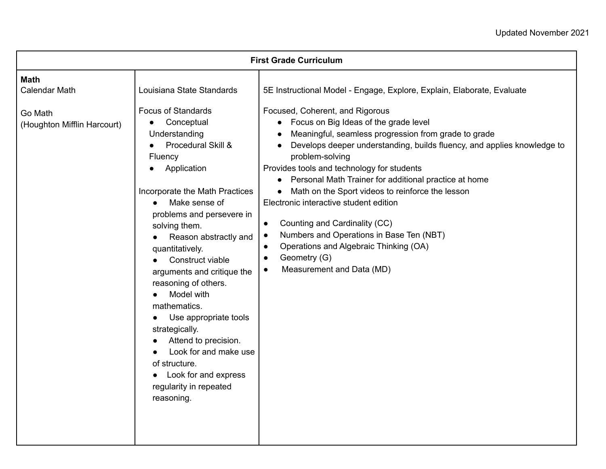| <b>First Grade Curriculum</b>                                                 |                                                                                                                                                                                                                                                                                                                                                                                                                                                                                                                                                                                                   |                                                                                                                                                                                                                                                                                                                                                                                                                                                                                                                                                                                                                                                                                                                                                                   |  |  |
|-------------------------------------------------------------------------------|---------------------------------------------------------------------------------------------------------------------------------------------------------------------------------------------------------------------------------------------------------------------------------------------------------------------------------------------------------------------------------------------------------------------------------------------------------------------------------------------------------------------------------------------------------------------------------------------------|-------------------------------------------------------------------------------------------------------------------------------------------------------------------------------------------------------------------------------------------------------------------------------------------------------------------------------------------------------------------------------------------------------------------------------------------------------------------------------------------------------------------------------------------------------------------------------------------------------------------------------------------------------------------------------------------------------------------------------------------------------------------|--|--|
| <b>Math</b><br><b>Calendar Math</b><br>Go Math<br>(Houghton Mifflin Harcourt) | Louisiana State Standards<br><b>Focus of Standards</b><br>Conceptual<br>$\bullet$<br>Understanding<br>Procedural Skill &<br>Fluency<br>Application<br>Incorporate the Math Practices<br>Make sense of<br>$\bullet$<br>problems and persevere in<br>solving them.<br>Reason abstractly and<br>quantitatively.<br>Construct viable<br>arguments and critique the<br>reasoning of others.<br>Model with<br>mathematics.<br>Use appropriate tools<br>strategically.<br>Attend to precision.<br>Look for and make use<br>of structure.<br>Look for and express<br>regularity in repeated<br>reasoning. | 5E Instructional Model - Engage, Explore, Explain, Elaborate, Evaluate<br>Focused, Coherent, and Rigorous<br>• Focus on Big Ideas of the grade level<br>Meaningful, seamless progression from grade to grade<br>Develops deeper understanding, builds fluency, and applies knowledge to<br>problem-solving<br>Provides tools and technology for students<br>Personal Math Trainer for additional practice at home<br>$\bullet$<br>Math on the Sport videos to reinforce the lesson<br>Electronic interactive student edition<br>Counting and Cardinality (CC)<br>$\bullet$<br>Numbers and Operations in Base Ten (NBT)<br>$\bullet$<br>Operations and Algebraic Thinking (OA)<br>$\bullet$<br>Geometry (G)<br>$\bullet$<br>Measurement and Data (MD)<br>$\bullet$ |  |  |
|                                                                               |                                                                                                                                                                                                                                                                                                                                                                                                                                                                                                                                                                                                   |                                                                                                                                                                                                                                                                                                                                                                                                                                                                                                                                                                                                                                                                                                                                                                   |  |  |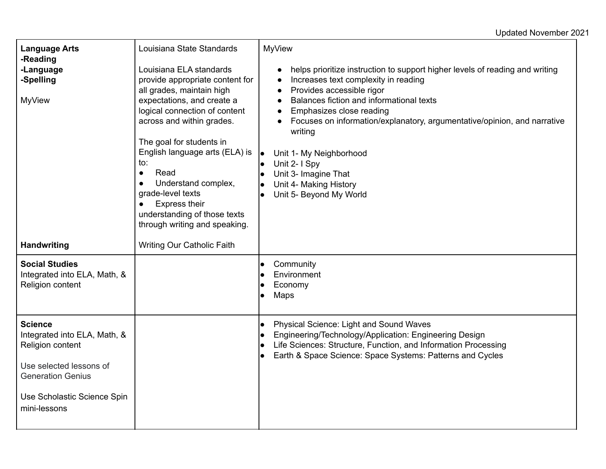## Updated November 2021

| <b>Language Arts</b><br>-Reading<br>-Language<br>-Spelling<br><b>MyView</b>                                               | Louisiana State Standards<br>Louisiana ELA standards<br>provide appropriate content for<br>all grades, maintain high<br>expectations, and create a<br>logical connection of content<br>across and within grades.<br>The goal for students in<br>English language arts (ELA) is<br>to:<br>Read<br>$\bullet$<br>Understand complex,<br>grade-level texts<br><b>Express their</b><br>understanding of those texts<br>through writing and speaking. | <b>MyView</b><br>helps prioritize instruction to support higher levels of reading and writing<br>Increases text complexity in reading<br>$\bullet$<br>Provides accessible rigor<br>$\bullet$<br>Balances fiction and informational texts<br>$\bullet$<br>Emphasizes close reading<br>$\bullet$<br>Focuses on information/explanatory, argumentative/opinion, and narrative<br>$\bullet$<br>writing<br>Unit 1- My Neighborhood<br>Unit 2- I Spy<br>Unit 3- Imagine That<br>Unit 4- Making History<br>Unit 5- Beyond My World |
|---------------------------------------------------------------------------------------------------------------------------|-------------------------------------------------------------------------------------------------------------------------------------------------------------------------------------------------------------------------------------------------------------------------------------------------------------------------------------------------------------------------------------------------------------------------------------------------|-----------------------------------------------------------------------------------------------------------------------------------------------------------------------------------------------------------------------------------------------------------------------------------------------------------------------------------------------------------------------------------------------------------------------------------------------------------------------------------------------------------------------------|
| <b>Handwriting</b><br><b>Social Studies</b><br>Integrated into ELA, Math, &                                               | Writing Our Catholic Faith                                                                                                                                                                                                                                                                                                                                                                                                                      | Community<br>Environment                                                                                                                                                                                                                                                                                                                                                                                                                                                                                                    |
| Religion content                                                                                                          |                                                                                                                                                                                                                                                                                                                                                                                                                                                 | Economy<br>Maps                                                                                                                                                                                                                                                                                                                                                                                                                                                                                                             |
| <b>Science</b><br>Integrated into ELA, Math, &<br>Religion content<br>Use selected lessons of<br><b>Generation Genius</b> |                                                                                                                                                                                                                                                                                                                                                                                                                                                 | Physical Science: Light and Sound Waves<br>Engineering/Technology/Application: Engineering Design<br>Life Sciences: Structure, Function, and Information Processing<br>Earth & Space Science: Space Systems: Patterns and Cycles                                                                                                                                                                                                                                                                                            |
| Use Scholastic Science Spin<br>mini-lessons                                                                               |                                                                                                                                                                                                                                                                                                                                                                                                                                                 |                                                                                                                                                                                                                                                                                                                                                                                                                                                                                                                             |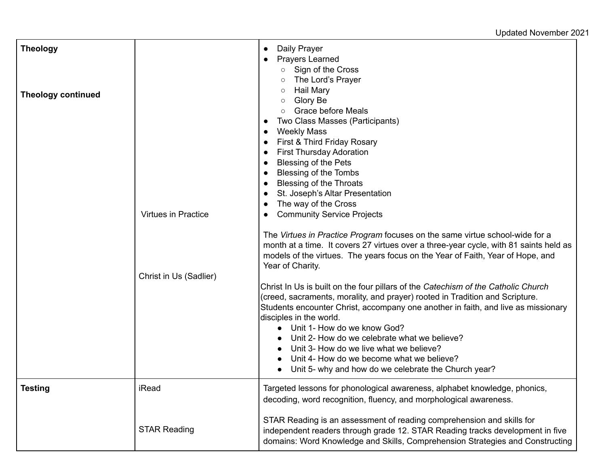## Updated November 2021

| <b>Theology</b><br><b>Theology continued</b> | <b>Virtues in Practice</b><br>Christ in Us (Sadlier) | Daily Prayer<br>$\bullet$<br><b>Prayers Learned</b><br>Sign of the Cross<br>$\circ$<br>The Lord's Prayer<br>Hail Mary<br>$\circ$<br>Glory Be<br>$\circ$<br><b>Grace before Meals</b><br>Two Class Masses (Participants)<br>$\bullet$<br><b>Weekly Mass</b><br>$\bullet$<br>First & Third Friday Rosary<br><b>First Thursday Adoration</b><br>$\bullet$<br>Blessing of the Pets<br>$\bullet$<br><b>Blessing of the Tombs</b><br><b>Blessing of the Throats</b><br>St. Joseph's Altar Presentation<br>The way of the Cross<br>$\bullet$<br><b>Community Service Projects</b><br>The Virtues in Practice Program focuses on the same virtue school-wide for a<br>month at a time. It covers 27 virtues over a three-year cycle, with 81 saints held as<br>models of the virtues. The years focus on the Year of Faith, Year of Hope, and<br>Year of Charity.<br>Christ In Us is built on the four pillars of the Catechism of the Catholic Church<br>(creed, sacraments, morality, and prayer) rooted in Tradition and Scripture.<br>Students encounter Christ, accompany one another in faith, and live as missionary<br>disciples in the world.<br>Unit 1- How do we know God?<br>$\bullet$<br>Unit 2- How do we celebrate what we believe?<br>Unit 3- How do we live what we believe?<br>Unit 4- How do we become what we believe?<br>Unit 5- why and how do we celebrate the Church year? |
|----------------------------------------------|------------------------------------------------------|--------------------------------------------------------------------------------------------------------------------------------------------------------------------------------------------------------------------------------------------------------------------------------------------------------------------------------------------------------------------------------------------------------------------------------------------------------------------------------------------------------------------------------------------------------------------------------------------------------------------------------------------------------------------------------------------------------------------------------------------------------------------------------------------------------------------------------------------------------------------------------------------------------------------------------------------------------------------------------------------------------------------------------------------------------------------------------------------------------------------------------------------------------------------------------------------------------------------------------------------------------------------------------------------------------------------------------------------------------------------------------------------|
| <b>Testing</b>                               | iRead                                                | Targeted lessons for phonological awareness, alphabet knowledge, phonics,<br>decoding, word recognition, fluency, and morphological awareness.                                                                                                                                                                                                                                                                                                                                                                                                                                                                                                                                                                                                                                                                                                                                                                                                                                                                                                                                                                                                                                                                                                                                                                                                                                             |
|                                              | <b>STAR Reading</b>                                  | STAR Reading is an assessment of reading comprehension and skills for<br>independent readers through grade 12. STAR Reading tracks development in five<br>domains: Word Knowledge and Skills, Comprehension Strategies and Constructing                                                                                                                                                                                                                                                                                                                                                                                                                                                                                                                                                                                                                                                                                                                                                                                                                                                                                                                                                                                                                                                                                                                                                    |